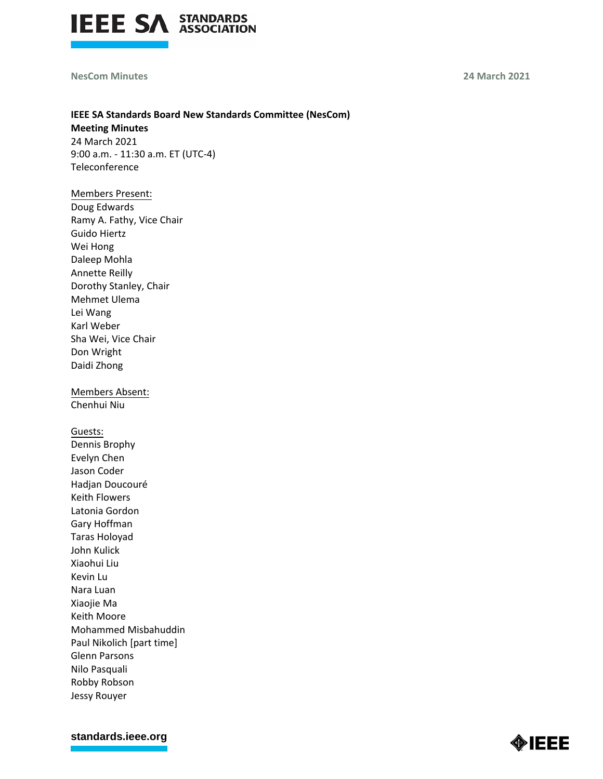

### **NesCom Minutes 24 March 2021**

## **IEEE SA Standards Board New Standards Committee (NesCom) Meeting Minutes**

24 March 2021 9:00 a.m. - 11:30 a.m. ET (UTC-4) Teleconference

### Members Present:

Doug Edwards Ramy A. Fathy, Vice Chair Guido Hiertz Wei Hong Daleep Mohla Annette Reilly Dorothy Stanley, Chair Mehmet Ulema Lei Wang Karl Weber Sha Wei, Vice Chair Don Wright Daidi Zhong

Members Absent: Chenhui Niu

Guests:

Dennis Brophy Evelyn Chen Jason Coder Hadjan Doucouré Keith Flowers Latonia Gordon Gary Hoffman Taras Holoyad John Kulick Xiaohui Liu Kevin Lu Nara Luan Xiaojie Ma Keith Moore Mohammed Misbahuddin Paul Nikolich [part time] Glenn Parsons Nilo Pasquali Robby Robson Jessy Rouyer

**[standards.ieee.org](http://standards.ieee.org/)**

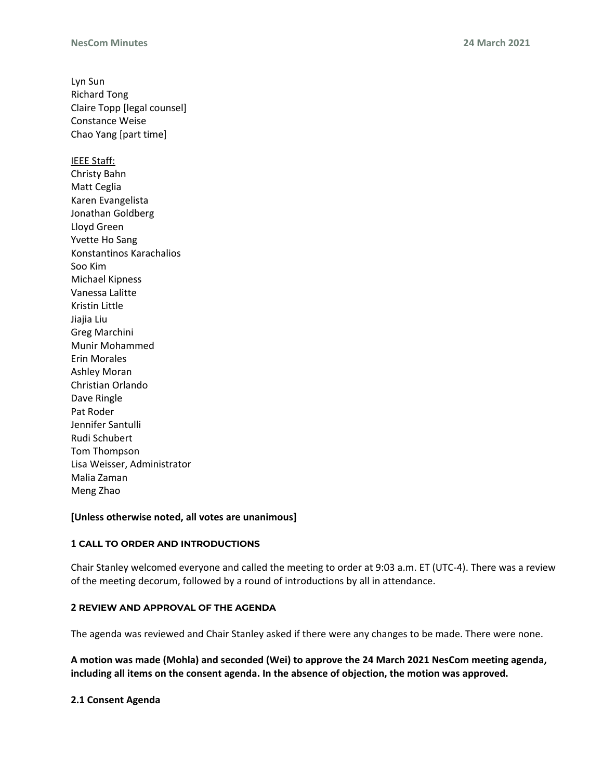Lyn Sun Richard Tong Claire Topp [legal counsel] Constance Weise Chao Yang [part time] IEEE Staff: Christy Bahn Matt Ceglia Karen Evangelista Jonathan Goldberg Lloyd Green Yvette Ho Sang Konstantinos Karachalios Soo Kim Michael Kipness Vanessa Lalitte Kristin Little Jiajia Liu Greg Marchini Munir Mohammed Erin Morales Ashley Moran Christian Orlando Dave Ringle Pat Roder Jennifer Santulli Rudi Schubert Tom Thompson Lisa Weisser, Administrator Malia Zaman Meng Zhao

### **[Unless otherwise noted, all votes are unanimous]**

### **1 CALL TO ORDER AND INTRODUCTIONS**

Chair Stanley welcomed everyone and called the meeting to order at 9:03 a.m. ET (UTC-4). There was a review of the meeting decorum, followed by a round of introductions by all in attendance.

### **2 REVIEW AND APPROVAL OF THE AGENDA**

The agenda was reviewed and Chair Stanley asked if there were any changes to be made. There were none.

**A motion was made (Mohla) and seconded (Wei) to approve the 24 March 2021 NesCom meeting agenda, including all items on the consent agenda. In the absence of objection, the motion was approved.**

### **2.1 Consent Agenda**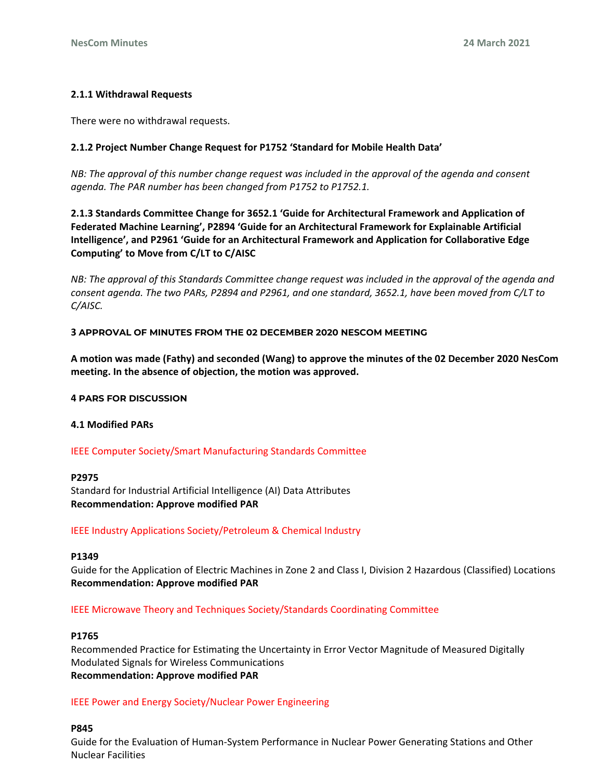## **2.1.1 Withdrawal Requests**

There were no withdrawal requests.

## **2.1.2 Project Number Change Request for P1752 'Standard for Mobile Health Data'**

*NB: The approval of this number change request was included in the approval of the agenda and consent agenda. The PAR number has been changed from P1752 to P1752.1.*

**2.1.3 Standards Committee Change for 3652.1 'Guide for Architectural Framework and Application of Federated Machine Learning', P2894 'Guide for an Architectural Framework for Explainable Artificial Intelligence', and P2961 'Guide for an Architectural Framework and Application for Collaborative Edge Computing' to Move from C/LT to C/AISC**

*NB: The approval of this Standards Committee change request was included in the approval of the agenda and consent agenda. The two PARs, P2894 and P2961, and one standard, 3652.1, have been moved from C/LT to C/AISC.*

### **3 APPROVAL OF MINUTES FROM THE 02 DECEMBER 2020 NESCOM MEETING**

**A motion was made (Fathy) and seconded (Wang) to approve the minutes of the 02 December 2020 NesCom meeting. In the absence of objection, the motion was approved.**

### **4 PARS FOR DISCUSSION**

## **4.1 Modified PARs**

## IEEE Computer Society/Smart Manufacturing Standards Committee

### **P2975**

Standard for Industrial Artificial Intelligence (AI) Data Attributes **Recommendation: Approve modified PAR**

## IEEE Industry Applications Society/Petroleum & Chemical Industry

### **P1349**

Guide for the Application of Electric Machines in Zone 2 and Class I, Division 2 Hazardous (Classified) Locations **Recommendation: Approve modified PAR**

### IEEE Microwave Theory and Techniques Society/Standards Coordinating Committee

### **P1765**

Recommended Practice for Estimating the Uncertainty in Error Vector Magnitude of Measured Digitally Modulated Signals for Wireless Communications **Recommendation: Approve modified PAR**

## IEEE Power and Energy Society/Nuclear Power Engineering

### **P845**

Guide for the Evaluation of Human-System Performance in Nuclear Power Generating Stations and Other Nuclear Facilities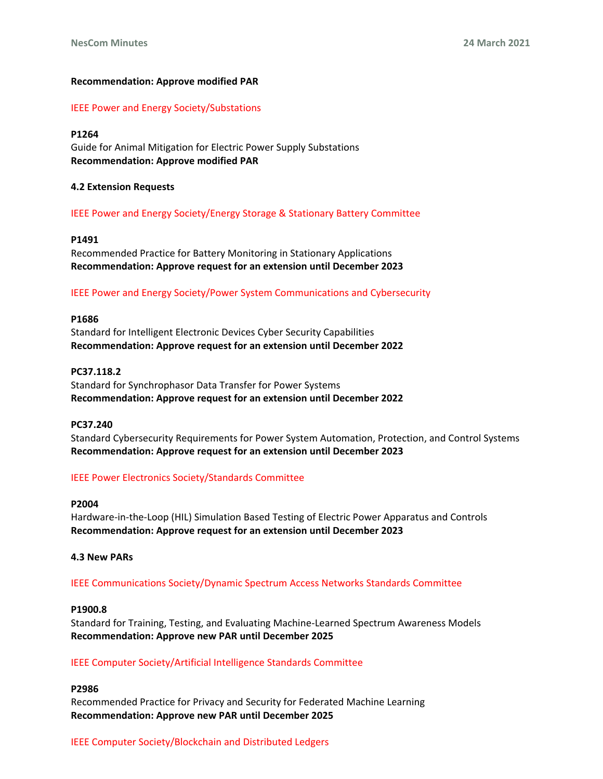### **Recommendation: Approve modified PAR**

IEEE Power and Energy Society/Substations

### **P1264**

Guide for Animal Mitigation for Electric Power Supply Substations **Recommendation: Approve modified PAR**

### **4.2 Extension Requests**

### IEEE Power and Energy Society/Energy Storage & Stationary Battery Committee

### **P1491**

Recommended Practice for Battery Monitoring in Stationary Applications **Recommendation: Approve request for an extension until December 2023**

### IEEE Power and Energy Society/Power System Communications and Cybersecurity

### **P1686**

Standard for Intelligent Electronic Devices Cyber Security Capabilities **Recommendation: Approve request for an extension until December 2022**

### **PC37.118.2**

Standard for Synchrophasor Data Transfer for Power Systems **Recommendation: Approve request for an extension until December 2022**

### **PC37.240**

Standard Cybersecurity Requirements for Power System Automation, Protection, and Control Systems **Recommendation: Approve request for an extension until December 2023**

### IEEE Power Electronics Society/Standards Committee

### **P2004**

Hardware-in-the-Loop (HIL) Simulation Based Testing of Electric Power Apparatus and Controls **Recommendation: Approve request for an extension until December 2023**

### **4.3 New PARs**

IEEE Communications Society/Dynamic Spectrum Access Networks Standards Committee

### **P1900.8**

Standard for Training, Testing, and Evaluating Machine-Learned Spectrum Awareness Models **Recommendation: Approve new PAR until December 2025**

### IEEE Computer Society/Artificial Intelligence Standards Committee

### **P2986**

Recommended Practice for Privacy and Security for Federated Machine Learning **Recommendation: Approve new PAR until December 2025**

### IEEE Computer Society/Blockchain and Distributed Ledgers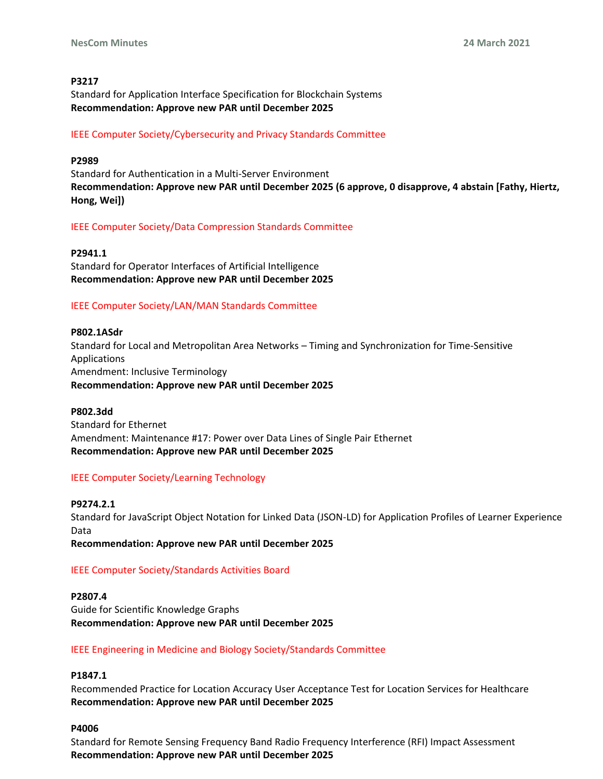### **P3217**

Standard for Application Interface Specification for Blockchain Systems **Recommendation: Approve new PAR until December 2025**

## IEEE Computer Society/Cybersecurity and Privacy Standards Committee

#### **P2989**

Standard for Authentication in a Multi-Server Environment **Recommendation: Approve new PAR until December 2025 (6 approve, 0 disapprove, 4 abstain [Fathy, Hiertz, Hong, Wei])**

### IEEE Computer Society/Data Compression Standards Committee

**P2941.1** Standard for Operator Interfaces of Artificial Intelligence **Recommendation: Approve new PAR until December 2025**

## IEEE Computer Society/LAN/MAN Standards Committee

# **P802.1ASdr** Standard for Local and Metropolitan Area Networks – Timing and Synchronization for Time-Sensitive Applications Amendment: Inclusive Terminology **Recommendation: Approve new PAR until December 2025**

### **P802.3dd**

Standard for Ethernet Amendment: Maintenance #17: Power over Data Lines of Single Pair Ethernet **Recommendation: Approve new PAR until December 2025**

## IEEE Computer Society/Learning Technology

### **P9274.2.1**

Standard for JavaScript Object Notation for Linked Data (JSON-LD) for Application Profiles of Learner Experience Data

**Recommendation: Approve new PAR until December 2025**

### IEEE Computer Society/Standards Activities Board

#### **P2807.4**

Guide for Scientific Knowledge Graphs **Recommendation: Approve new PAR until December 2025**

### IEEE Engineering in Medicine and Biology Society/Standards Committee

# **P1847.1**

Recommended Practice for Location Accuracy User Acceptance Test for Location Services for Healthcare **Recommendation: Approve new PAR until December 2025**

### **P4006**

Standard for Remote Sensing Frequency Band Radio Frequency Interference (RFI) Impact Assessment **Recommendation: Approve new PAR until December 2025**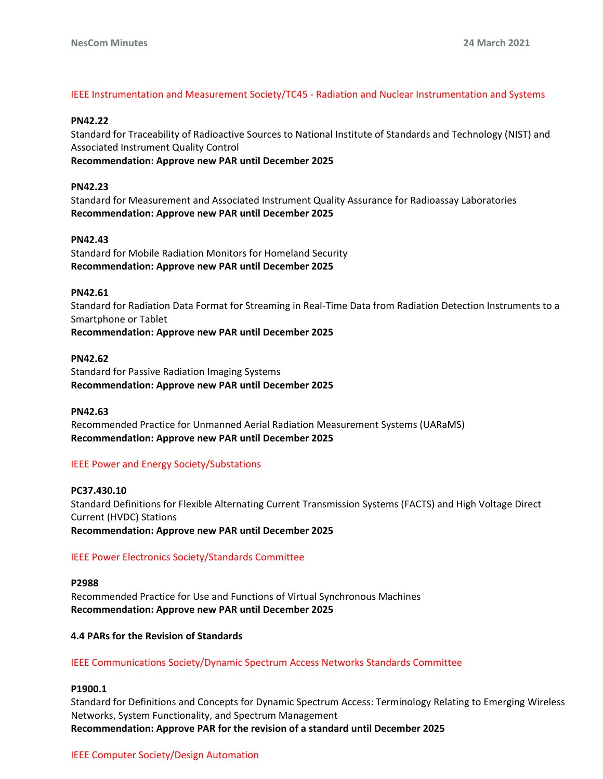### IEEE Instrumentation and Measurement Society/TC45 - Radiation and Nuclear Instrumentation and Systems

#### **PN42.22**

Standard for Traceability of Radioactive Sources to National Institute of Standards and Technology (NIST) and Associated Instrument Quality Control

**Recommendation: Approve new PAR until December 2025**

#### **PN42.23**

Standard for Measurement and Associated Instrument Quality Assurance for Radioassay Laboratories **Recommendation: Approve new PAR until December 2025**

#### **PN42.43**

Standard for Mobile Radiation Monitors for Homeland Security **Recommendation: Approve new PAR until December 2025**

#### **PN42.61**

Standard for Radiation Data Format for Streaming in Real-Time Data from Radiation Detection Instruments to a Smartphone or Tablet **Recommendation: Approve new PAR until December 2025**

#### **PN42.62**

Standard for Passive Radiation Imaging Systems **Recommendation: Approve new PAR until December 2025**

#### **PN42.63**

Recommended Practice for Unmanned Aerial Radiation Measurement Systems (UARaMS) **Recommendation: Approve new PAR until December 2025**

### IEEE Power and Energy Society/Substations

**PC37.430.10** Standard Definitions for Flexible Alternating Current Transmission Systems (FACTS) and High Voltage Direct Current (HVDC) Stations **Recommendation: Approve new PAR until December 2025**

### IEEE Power Electronics Society/Standards Committee

**P2988** Recommended Practice for Use and Functions of Virtual Synchronous Machines **Recommendation: Approve new PAR until December 2025**

### **4.4 PARs for the Revision of Standards**

### IEEE Communications Society/Dynamic Spectrum Access Networks Standards Committee

### **P1900.1**

Standard for Definitions and Concepts for Dynamic Spectrum Access: Terminology Relating to Emerging Wireless Networks, System Functionality, and Spectrum Management **Recommendation: Approve PAR for the revision of a standard until December 2025**

### IEEE Computer Society/Design Automation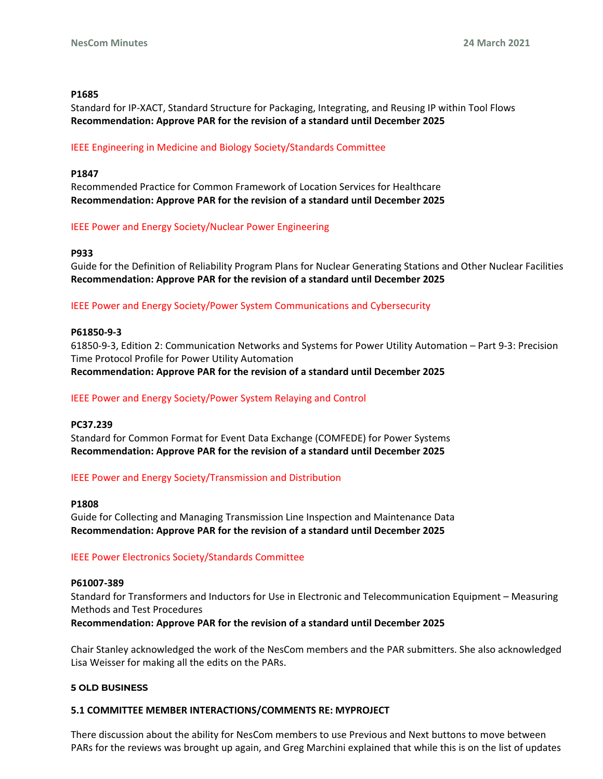#### **P1685**

Standard for IP-XACT, Standard Structure for Packaging, Integrating, and Reusing IP within Tool Flows **Recommendation: Approve PAR for the revision of a standard until December 2025**

#### IEEE Engineering in Medicine and Biology Society/Standards Committee

#### **P1847**

Recommended Practice for Common Framework of Location Services for Healthcare **Recommendation: Approve PAR for the revision of a standard until December 2025**

#### IEEE Power and Energy Society/Nuclear Power Engineering

#### **P933**

Guide for the Definition of Reliability Program Plans for Nuclear Generating Stations and Other Nuclear Facilities **Recommendation: Approve PAR for the revision of a standard until December 2025**

### IEEE Power and Energy Society/Power System Communications and Cybersecurity

#### **P61850-9-3**

61850-9-3, Edition 2: Communication Networks and Systems for Power Utility Automation – Part 9-3: Precision Time Protocol Profile for Power Utility Automation **Recommendation: Approve PAR for the revision of a standard until December 2025**

### IEEE Power and Energy Society/Power System Relaying and Control

### **PC37.239**

Standard for Common Format for Event Data Exchange (COMFEDE) for Power Systems **Recommendation: Approve PAR for the revision of a standard until December 2025**

### IEEE Power and Energy Society/Transmission and Distribution

#### **P1808**

Guide for Collecting and Managing Transmission Line Inspection and Maintenance Data **Recommendation: Approve PAR for the revision of a standard until December 2025**

### IEEE Power Electronics Society/Standards Committee

#### **P61007-389**

Standard for Transformers and Inductors for Use in Electronic and Telecommunication Equipment – Measuring Methods and Test Procedures

**Recommendation: Approve PAR for the revision of a standard until December 2025**

Chair Stanley acknowledged the work of the NesCom members and the PAR submitters. She also acknowledged Lisa Weisser for making all the edits on the PARs.

### **5 OLD BUSINESS**

### **5.1 COMMITTEE MEMBER INTERACTIONS/COMMENTS RE: MYPROJECT**

There discussion about the ability for NesCom members to use Previous and Next buttons to move between PARs for the reviews was brought up again, and Greg Marchini explained that while this is on the list of updates